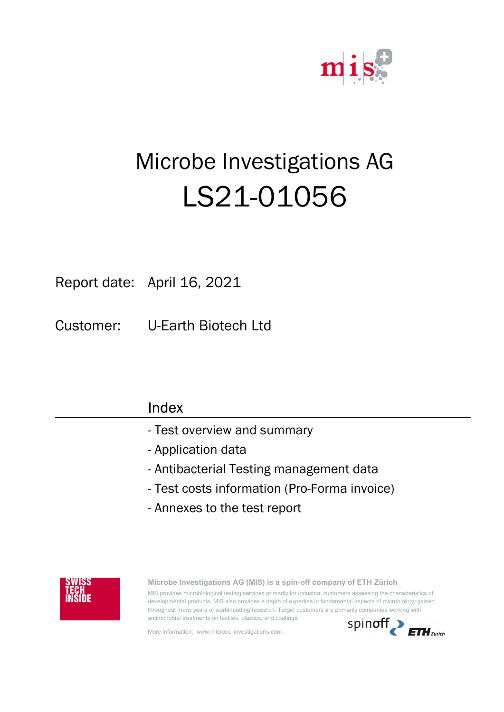

# Microbe Investigations AG LS21-01056

Report date: April 16, 2021

Customer: U-Earth Biotech Ltd

| Index                                        |
|----------------------------------------------|
| - Test overview and summary                  |
| - Application data                           |
| - Antibacterial Testing management data      |
| - Test costs information (Pro-Forma invoice) |
| - Annexes to the test report                 |
|                                              |



Microbe Investigations AG (MIS) is a spin-off company of ETH Zürich MIS provides microbiological testing services primarily for industrial customers assessing the characteristics of developmental products. MIS also provides a depth of expertise in fundamental aspects of microbiology gained throughout many years of world-leading research. Target customers are primarily companies working with antimicrobial treatments on textiles, plastics, and coatings.

More information: www.microbe-investigations.com

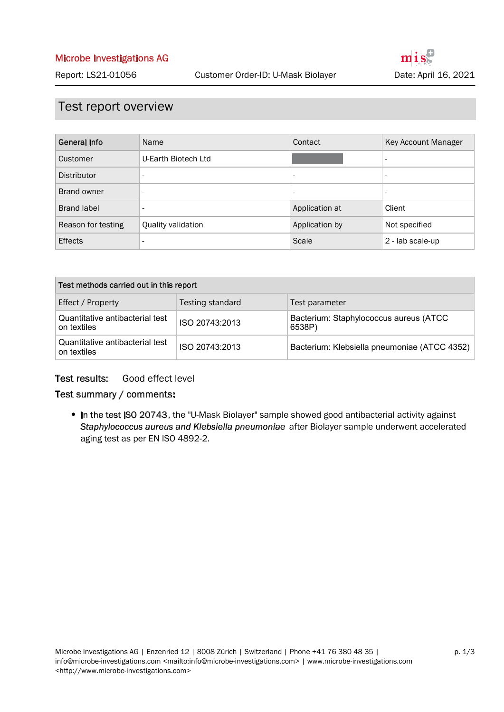### Test report overview

| General Info       | Name                     | Contact                  | Key Account Manager          |
|--------------------|--------------------------|--------------------------|------------------------------|
| Customer           | U-Earth Biotech Ltd      |                          | $\overline{\phantom{a}}$     |
| Distributor        | $\overline{\phantom{a}}$ | $\overline{\phantom{a}}$ | $\qquad \qquad \blacksquare$ |
| Brand owner        | $\overline{\phantom{a}}$ | $\overline{\phantom{a}}$ | $\qquad \qquad \blacksquare$ |
| <b>Brand label</b> | $\overline{\phantom{a}}$ | Application at           | Client                       |
| Reason for testing | Quality validation       | Application by           | Not specified                |
| <b>Effects</b>     | $\overline{\phantom{a}}$ | Scale                    | 2 - lab scale-up             |

| Test methods carried out in this report        |                  |                                                  |  |  |
|------------------------------------------------|------------------|--------------------------------------------------|--|--|
| Effect / Property                              | Testing standard | Test parameter                                   |  |  |
| Quantitative antibacterial test<br>on textiles | ISO 20743:2013   | Bacterium: Staphylococcus aureus (ATCC<br>6538P) |  |  |
| Quantitative antibacterial test<br>on textiles | ISO 20743:2013   | Bacterium: Klebsiella pneumoniae (ATCC 4352)     |  |  |

#### Good effect level Test results:

#### Test summary / comments:

• In the test ISO 20743, the "U-Mask Biolayer" sample showed good antibacterial activity against Staphylococcus aureus and Klebsiella pneumoniae after Biolayer sample underwent accelerated aging test as per EN ISO 4892-2.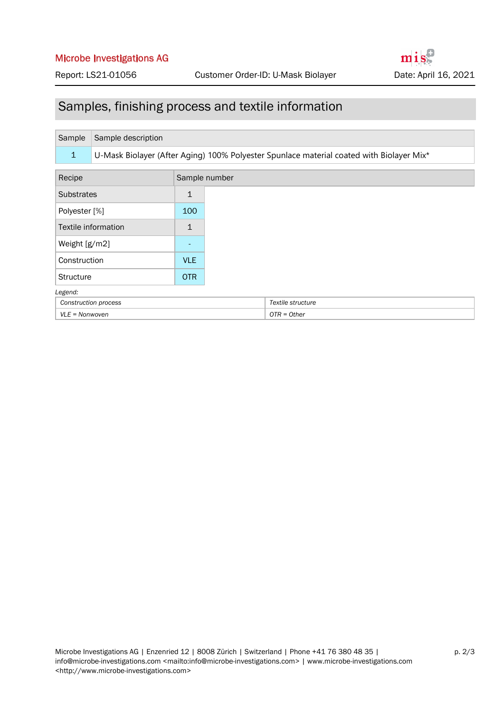#### Microbe Investigations AG

## Samples, finishing process and textile information

| Sample                  | Sample description                                                                       |              |                   |  |  |
|-------------------------|------------------------------------------------------------------------------------------|--------------|-------------------|--|--|
| $\mathbf{1}$            | U-Mask Biolayer (After Aging) 100% Polyester Spunlace material coated with Biolayer Mix* |              |                   |  |  |
| Recipe<br>Sample number |                                                                                          |              |                   |  |  |
| <b>Substrates</b>       |                                                                                          | 1            |                   |  |  |
| Polyester [%]           |                                                                                          | 100          |                   |  |  |
| Textile information     |                                                                                          | $\mathbf{1}$ |                   |  |  |
| Weight [g/m2]           |                                                                                          |              |                   |  |  |
| Construction            |                                                                                          | <b>VLE</b>   |                   |  |  |
| <b>Structure</b>        |                                                                                          | <b>OTR</b>   |                   |  |  |
| Legend:                 |                                                                                          |              |                   |  |  |
| Construction process    |                                                                                          |              | Textile structure |  |  |
| $VLE = Nonwoven$        |                                                                                          |              | $OTR = Other$     |  |  |